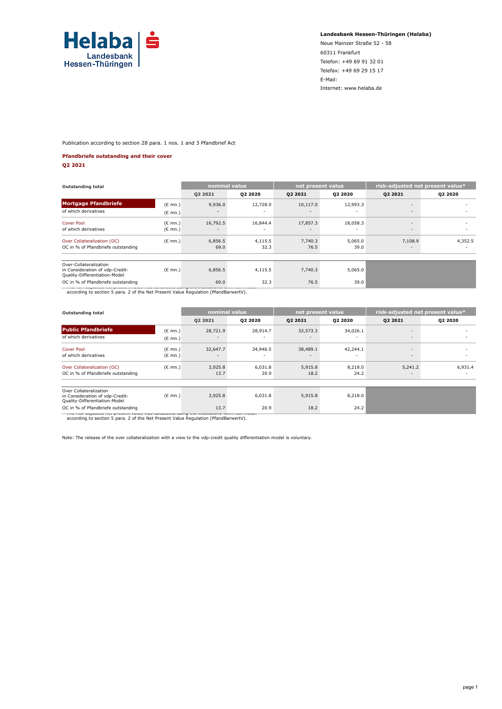

**Landesbank Hessen-Thüringen (Helaba)**

Neue Mainzer Straße 52 - 58 60311 Frankfurt Telefon: +49 69 91 32 01 Telefax: +49 69 29 15 17 E-Mail: Internet: www.helaba.de

Publication according to section 28 para. 1 nos. 1 and 3 Pfandbrief Act

#### **Pfandbriefe outstanding and their cover**

**Q2 2021**

| <b>Outstanding total</b>                                                                   |                   | nominal value |          | net present value        |                | risk-adjusted net present value* |         |
|--------------------------------------------------------------------------------------------|-------------------|---------------|----------|--------------------------|----------------|----------------------------------|---------|
|                                                                                            |                   | Q2 2021       | Q2 2020  | Q2 2021                  | <b>Q2 2020</b> | Q2 2021                          | Q2 2020 |
| <b>Mortgage Pfandbriefe</b>                                                                | (€ mn.)           | 9,936.0       | 12,728.9 | 10,117.0                 | 12,993.3       | $\overline{\phantom{a}}$         |         |
| of which derivatives                                                                       | $(C \text{ mn.})$ |               |          |                          |                | $\sim$                           |         |
| <b>Cover Pool</b>                                                                          | (€ mn.)           | 16,792.5      | 16,844.4 | 17,857.3                 | 18,058.3       | $\overline{\phantom{a}}$         | ۰       |
| of which derivatives                                                                       | (€ mn.)           | $\sim$        | ٠        | $\overline{\phantom{a}}$ | ٠              | $\sim$                           | ۰       |
| Over Collateralization (OC)                                                                | $(E$ mn.)         | 6,856.5       | 4,115.5  | 7,740.3                  | 5,065.0        | 7,108.9                          | 4,352.5 |
| OC in % of Pfandbriefe outstanding                                                         |                   | 69.0          | 32.3     | 76.5                     | 39.0           | $\overline{\phantom{a}}$         | -       |
|                                                                                            |                   |               |          |                          |                |                                  |         |
| Over-Collateralization<br>in Consideration of vdp-Credit-<br>Quality-Differentiation-Model | $(C \text{ mn.})$ | 6,856.5       | 4,115.5  | 7,740.3                  | 5,065.0        |                                  |         |
| OC in % of Pfandbriefe outstanding                                                         |                   | 69.0          | 32.3     | 76.5                     | 39.0           |                                  |         |
| according to section 5 para. 2 of the Net Present Value Regulation (PfandBarwertV).        |                   |               |          |                          |                |                                  |         |

| <b>Outstanding total</b>                                                                          |                                        | nominal value                        |                                      | net present value                    |                 | risk-adjusted net present value*    |                                     |  |
|---------------------------------------------------------------------------------------------------|----------------------------------------|--------------------------------------|--------------------------------------|--------------------------------------|-----------------|-------------------------------------|-------------------------------------|--|
|                                                                                                   |                                        | Q2 2021                              | Q2 2020                              | Q2 2021                              | Q2 2020         | Q2 2021                             | Q2 2020                             |  |
| <b>Public Pfandbriefe</b><br>of which derivatives                                                 | $(E \text{ mn.})$<br>$(E \text{ mn.})$ | 28,721.9<br>$\overline{\phantom{a}}$ | 28,914.7                             | 32,573.3<br>$\overline{\phantom{a}}$ | 34,026.1        | $\overline{\phantom{a}}$<br>$\sim$  |                                     |  |
| Cover Pool<br>of which derivatives                                                                | $(C \text{ mn.})$<br>$(E \text{ mn.})$ | 32,647.7<br>$\overline{\phantom{a}}$ | 34,946.5<br>$\overline{\phantom{a}}$ | 38,489.1<br>$\overline{\phantom{a}}$ | 42,244.1<br>٠   | $\overline{\phantom{a}}$<br>$\sim$  | -<br>۰                              |  |
| Over Collateralization (OC)<br>OC in % of Pfandbriefe outstanding                                 | $(C \text{ mn.})$                      | 3,925.8<br>13.7                      | 6,031.8<br>20.9                      | 5,915.8<br>18.2                      | 8,218.0<br>24.2 | 5,241.2<br>$\overline{\phantom{a}}$ | 6,931.4<br>$\overline{\phantom{a}}$ |  |
| Over Collateralization<br>in Consideration of vdp-Credit-<br>Quality-Differentiation-Model        | $(E \text{ mn.})$                      | 3,925.8                              | 6,031.8                              | 5,915.8                              | 8,218.0         |                                     |                                     |  |
| OC in % of Pfandbriefe outstanding<br>- The Han denouved het present verde was concerned dann the |                                        | 13.7                                 | 20.9                                 | 18.2                                 | 24.2            |                                     |                                     |  |

\* The risk-adjusted net present value was calculated using the institutions' own risk model according to section 5 para. 2 of the Net Present Value Regulation (PfandBarwertV).

Note: The release of the over collateralization with a view to the vdp-credit quality differentiation model is voluntary.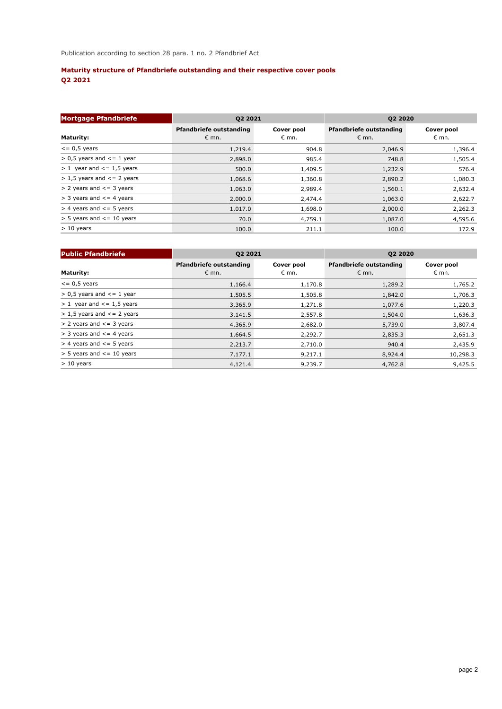# **Maturity structure of Pfandbriefe outstanding and their respective cover pools Q2 2021**

| <b>Mortgage Pfandbriefe</b>        | Q2 2021                                   |                     | Q2 2020                                          |                              |  |  |
|------------------------------------|-------------------------------------------|---------------------|--------------------------------------------------|------------------------------|--|--|
| <b>Maturity:</b>                   | Pfandbriefe outstanding<br>$\epsilon$ mn. | Cover pool<br>€ mn. | <b>Pfandbriefe outstanding</b><br>$\epsilon$ mn. | Cover pool<br>$\epsilon$ mn. |  |  |
| $\epsilon$ = 0,5 years             | 1,219.4                                   | 904.8               | 2,046.9                                          | 1,396.4                      |  |  |
| $> 0.5$ years and $\leq 1$ year    | 2,898.0                                   | 985.4               | 748.8                                            | 1,505.4                      |  |  |
| $> 1$ year and $\le$ = 1,5 years   | 500.0                                     | 1,409.5             | 1,232.9                                          | 576.4                        |  |  |
| $> 1.5$ years and $\leq$ = 2 years | 1,068.6                                   | 1,360.8             | 2,890.2                                          | 1,080.3                      |  |  |
| $> 2$ years and $\leq$ = 3 years   | 1,063.0                                   | 2,989.4             | 1,560.1                                          | 2,632.4                      |  |  |
| $>$ 3 years and $\leq$ 4 years     | 2,000.0                                   | 2,474.4             | 1,063.0                                          | 2,622.7                      |  |  |
| $>$ 4 years and $\le$ = 5 years    | 1,017.0                                   | 1,698.0             | 2,000.0                                          | 2,262.3                      |  |  |
| $>$ 5 years and $\le$ = 10 years   | 70.0                                      | 4,759.1             | 1,087.0                                          | 4,595.6                      |  |  |
| $> 10$ years                       | 100.0                                     | 211.1               | 100.0                                            | 172.9                        |  |  |

| <b>Public Pfandbriefe</b>          | Q2 2021                                          |                              | Q2 2020                                          |                              |  |  |
|------------------------------------|--------------------------------------------------|------------------------------|--------------------------------------------------|------------------------------|--|--|
| <b>Maturity:</b>                   | <b>Pfandbriefe outstanding</b><br>$\epsilon$ mn. | Cover pool<br>$\epsilon$ mn. | <b>Pfandbriefe outstanding</b><br>$\epsilon$ mn. | Cover pool<br>$\epsilon$ mn. |  |  |
| $\epsilon$ = 0,5 years             | 1,166.4                                          | 1,170.8                      | 1,289.2                                          | 1,765.2                      |  |  |
| $> 0.5$ years and $\leq 1$ year    | 1,505.5                                          | 1,505.8                      | 1,842.0                                          | 1,706.3                      |  |  |
| $> 1$ year and $<= 1.5$ years      | 3,365.9                                          | 1,271.8                      | 1,077.6                                          | 1,220.3                      |  |  |
| $> 1.5$ years and $\leq$ = 2 years | 3,141.5                                          | 2,557.8                      | 1,504.0                                          | 1,636.3                      |  |  |
| $> 2$ years and $\leq$ = 3 years   | 4,365.9                                          | 2,682.0                      | 5,739.0                                          | 3,807.4                      |  |  |
| $>$ 3 years and $\leq$ 4 years     | 1,664.5                                          | 2,292.7                      | 2,835.3                                          | 2,651.3                      |  |  |
| $>$ 4 years and $\leq$ 5 years     | 2,213.7                                          | 2,710.0                      | 940.4                                            | 2,435.9                      |  |  |
| $>$ 5 years and $\le$ = 10 years   | 7,177.1                                          | 9,217.1                      | 8,924.4                                          | 10,298.3                     |  |  |
| $> 10$ years                       | 4,121.4                                          | 9,239.7                      | 4,762.8                                          | 9,425.5                      |  |  |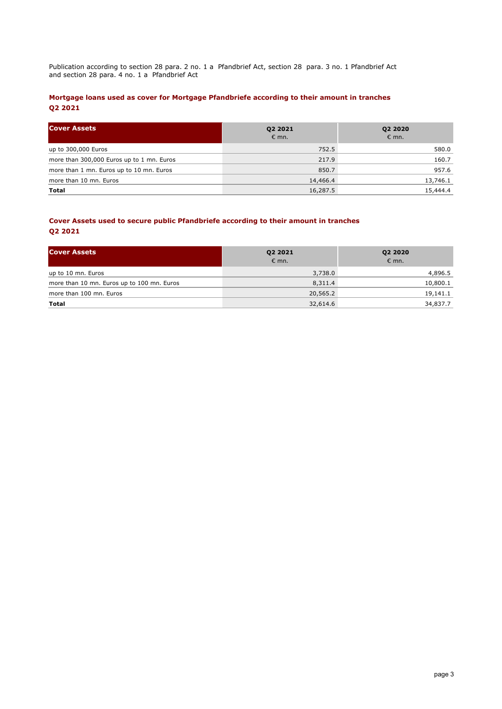Publication according to section 28 para. 2 no. 1 a Pfandbrief Act, section 28 para. 3 no. 1 Pfandbrief Act and section 28 para. 4 no. 1 a Pfandbrief Act

## **Mortgage loans used as cover for Mortgage Pfandbriefe according to their amount in tranches Q2 2021**

| <b>Cover Assets</b>                       | <b>Q2 2021</b><br>$\epsilon$ mn. | Q2 2020<br>$\epsilon$ mn. |
|-------------------------------------------|----------------------------------|---------------------------|
| up to 300,000 Euros                       | 752.5                            | 580.0                     |
| more than 300,000 Euros up to 1 mn. Euros | 217.9                            | 160.7                     |
| more than 1 mn. Euros up to 10 mn. Euros  | 850.7                            | 957.6                     |
| more than 10 mn. Euros                    | 14,466.4                         | 13,746.1                  |
| Total                                     | 16,287.5                         | 15,444.4                  |

## **Cover Assets used to secure public Pfandbriefe according to their amount in tranches Q2 2021**

| <b>Cover Assets</b>                        | Q2 2021<br>$\epsilon$ mn. | Q2 2020<br>$\epsilon$ mn. |  |  |
|--------------------------------------------|---------------------------|---------------------------|--|--|
| up to 10 mn. Euros                         | 3,738.0                   | 4,896.5                   |  |  |
| more than 10 mn. Euros up to 100 mn. Euros | 8,311.4                   | 10,800.1                  |  |  |
| more than 100 mn. Euros                    | 20,565.2                  | 19,141.1                  |  |  |
| Total                                      | 32,614.6                  | 34,837.7                  |  |  |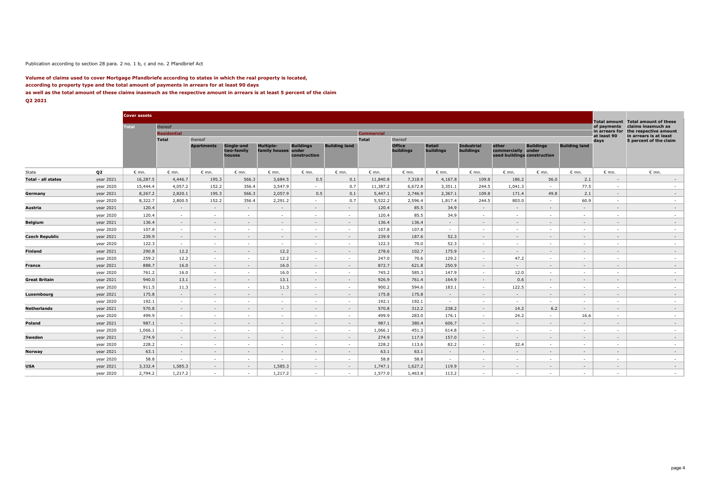#### Publication according to section 28 para. 2 no. 1 b, c and no. 2 Pfandbrief Act

#### **Volume of claims used to cover Mortgage Pfandbriefe according to states in which the real property is located, according to property type and the total amount of payments in arrears for at least 90 days as well as the total amount of these claims inasmuch as the respective amount in arrears is at least 5 percent of the claim Q2 2021**

|                    |                        | <b>Cover assets</b> |                    |                   |                                    |                                         |                                  |                      |                   |                            |                     |                                |                                                            |                          |                      |                                    |                                                    |
|--------------------|------------------------|---------------------|--------------------|-------------------|------------------------------------|-----------------------------------------|----------------------------------|----------------------|-------------------|----------------------------|---------------------|--------------------------------|------------------------------------------------------------|--------------------------|----------------------|------------------------------------|----------------------------------------------------|
|                    |                        | <b>Total</b>        | thereof            |                   |                                    |                                         |                                  |                      |                   |                            |                     |                                |                                                            |                          |                      | <b>Total amount</b><br>of payments | <b>Total amount of these</b><br>claims inasmuch as |
|                    |                        |                     | <b>Residential</b> |                   |                                    |                                         |                                  |                      | <b>Commercial</b> |                            |                     |                                |                                                            |                          |                      | in arrears for                     | the respective amount                              |
|                    |                        |                     | <b>Total</b>       | thereof           |                                    |                                         |                                  |                      | <b>Total</b>      | thereof                    |                     |                                |                                                            |                          |                      | at least 90<br>days                | in arrears is at least<br>5 percent of the claim   |
|                    |                        |                     |                    | <b>Apartments</b> | Single-and<br>two-family<br>houses | <b>Multiple-</b><br>family houses under | <b>Buildings</b><br>construction | <b>Building land</b> |                   | <b>Office</b><br>buildings | Retail<br>buildings | <b>Industrial</b><br>buildings | other<br>commercially under<br>used buildings construction | <b>Buildings</b>         | <b>Building land</b> |                                    |                                                    |
| State              | Q <sub>2</sub>         | $\epsilon$ mn.      | $\epsilon$ mn.     | $\epsilon$ mn.    | $\epsilon$ mn.                     | $\epsilon$ mn.                          | $\epsilon$ mn.                   | $\epsilon$ mn.       | $\epsilon$ mn.    | $\epsilon$ mn.             | $\epsilon$ mn.      | $\epsilon$ mn.                 | $\epsilon$ mn.                                             | $\epsilon$ mn.           | $\varepsilon$ mn.    | $\epsilon$ mn.                     | $\epsilon$ mn.                                     |
| Total - all states | year 2021              | 16,287.5            | 4,446.7            | 195.3             | 566.3                              | 3,684.5                                 | 0.5                              | 0.1                  | 11,840.8          | 7,318.9                    | 4,167.8             | 109.8                          | 186.2                                                      | 56.0                     | 2.1                  | $\sim$                             | $\sim$                                             |
|                    | year 2020              | 15,444.4            | 4,057.2            | 152.2             | 356.4                              | 3,547.9                                 | $\sim$                           | 0.7                  | 11,387.2          | 6,672.8                    | 3,351.1             | 244.5                          | 1,041.3                                                    | $\sim$                   | 77.5                 | $\sim$                             | $\sim$                                             |
|                    | year 2021              | 8,267.2             | 2,820.1            | 195.3             | 566.3                              | 2,057.9                                 | 0.5                              | 0.1                  | 5,447.1           | 2,746.9                    | 2,367.1             | 109.8                          | 171.4                                                      | 49.8                     | 2.1                  | $\overline{a}$                     | $\sim$                                             |
| Germany            | year 2020              | 8,322.7             | 2,800.5            | 152.2             | 356.4                              | 2,291.2                                 | $\sim$                           | 0.7                  | 5,522.2           | 2,596.4                    | 1,817.4             | 244.5                          | 803.0                                                      | $\sim$                   | 60.9                 | $\sim$                             | $\sim$                                             |
|                    | year 2021              | 120.4               | $\sim$             | $\sim$            | $\sim$                             | $\sim$                                  | $\sim$                           | $\sim$               | 120.4             | 85.5                       | 34.9                | $\sim$                         | $\sim$                                                     | $\sim$                   | $\sim$               | $\sim$                             | $\sim$                                             |
| Austria            |                        | 120.4               | $\sim$             | <b>COL</b>        | $\sim$                             |                                         | <b>COL</b>                       | <b>A</b>             | 120.4             | 85.5                       | 34.9                |                                | <b>COL</b>                                                 | $\sim$                   | $\sim$               | $\sim$                             |                                                    |
|                    | year 2020              |                     |                    |                   |                                    | $\sim$                                  |                                  |                      |                   |                            |                     | $\sim$                         |                                                            |                          |                      |                                    | $\sim$                                             |
| Belgium            | year 2021              | 136.4<br>107.8      | $\sim$<br>$\sim$   | $\sim$            | $\sim$<br>$\sim$                   | $\sim$                                  | $\sim$<br>$\sim$                 | $\sim$<br>$\sim$     | 136.4<br>107.8    | 136.4<br>107.8             | $\sim$              | $\sim$                         | $\sim$                                                     | $\sim$                   | $\sim$<br>$\sim$     | $\sim$<br>$\sim$                   | $\sim$                                             |
|                    | year 2020<br>year 2021 |                     |                    | $\sim$            |                                    | $\sim$                                  |                                  |                      |                   |                            | $\sim$              | $\sim$                         | $\sim$                                                     | ٠                        |                      |                                    | $\sim$                                             |
| Czech Republic     |                        | 239.9               | $\sim$             | $\sim$            | $\sim$                             | $\sim$                                  | $\sim$                           | $\sim$               | 239.9             | 187.6                      | 52.3                | $\sim$                         | $\sim$                                                     | $\sim$                   | $\sim$               | $\sim$                             | $\sim$                                             |
|                    | year 2020              | 122.3               | $\sim$             | $\sim$            | $\sim$                             | $\sim$                                  | <b>A</b>                         | $\sim$               | 122.3             | 70.0                       | 52.3                | $\sim$                         | $\sim$                                                     | $\sim$                   | $\sim$               | $\sim$                             | $\sim$                                             |
| Finland            | year 2021              | 290.8               | 12.2               | $\sim$            | $\sim$                             | 12.2                                    | $\sim$                           | $\sim$               | 278.6             | 102.7                      | 175.9               | $\sim$                         | $\sim$                                                     | $\overline{\phantom{a}}$ | $\sim$               | $\sim$                             | $\sim$                                             |
|                    | year 2020              | 259.2               | 12.2               | $\sim$            | $\sim$                             | 12.2                                    | $\sim$                           | $\sim$               | 247.0             | 70.6                       | 129.2               | $\sim$                         | 47.2                                                       | $\sim$                   | $\sim$               | $\sim$                             | $\sim$                                             |
| France             | year 2021              | 888.7               | 16.0               | $\sim$            | $\sim$                             | 16.0                                    | $\sim$                           | $\sim$               | 872.7             | 621.8                      | 250.9               | $\sim$                         | $\sim$                                                     | $\sim$                   | $\sim$               | $\sim$                             | $\sim$                                             |
|                    | year 2020              | 761.2               | 16.0               | $\sim$            | $\sim$                             | 16.0                                    | $\sim$                           | $\sim$               | 745.2             | 585.3                      | 147.9               | $\sim$                         | 12.0                                                       | $\sim$                   | $\sim$               | $\sim$                             | $\sim$                                             |
| Great Britain      | year 2021              | 940.0               | 13.1               | $\sim$            | $\sim$                             | 13.1                                    | $\sim$                           | $\sim$               | 926.9             | 761.4                      | 164.9               | $\sim$                         | 0.6                                                        | $\sim$                   | $\sim$               | $\sim$                             | $\sim$                                             |
|                    | year 2020              | 911.5               | 11.3               | $\sim$            | $\sim$                             | 11.3                                    | $\sim$                           | $\sim$               | 900.2             | 594.6                      | 183.1               | $\sim$                         | 122.5                                                      | $\sim$                   | $\sim$               | $\sim$                             | $\sim$                                             |
| Luxembourg         | year 2021              | 175.8               | $\sim$             | $\sim$            | $\sim$                             | $\sim$                                  | $\sim$                           | $\sim$               | 175.8             | 175.8                      | $\sim$              | $\sim$                         | $\sim$                                                     | $\sim$                   | $\sim$               | $\sim$                             | $\sim$                                             |
|                    | year 2020              | 192.1               | $\sim$             | $\sim$            | $\sim$                             | $\sim$                                  | <b>A</b>                         | $\sim$               | 192.1             | 192.1                      | $\sim$              | $\sim$                         | $\sim$                                                     | $\sim$                   | $\sim$               | <b>COL</b>                         | $\sim$                                             |
| Netherlands        | year 2021              | 570.8               | $\sim$             | $\sim$            | $\sim$                             | $\sim$                                  | $\sim$                           | $\sim$               | 570.8             | 312.2                      | 238.2               | $\sim$                         | 14.2                                                       | 6.2                      | $\sim$               | $\overline{\phantom{a}}$           | $\sim$                                             |
|                    | year 2020              | 499.9               | $\sim$             | $\sim$            | $\sim$                             | $\sim$                                  | <b>A</b>                         | $\sim$               | 499.9             | 283.0                      | 176.1               | $\sim$                         | 24.2                                                       | $\sim$                   | 16.6                 | $\sim$                             | $\sim$                                             |
| Poland             | year 2021              | 987.1               | $\sim$             | $\sim$            | $\sim$                             | $\sim$                                  | $\sim$                           | $\sim$               | 987.1             | 380.4                      | 606.7               | $\sim$                         | $\sim$                                                     | $\sim$                   | $\sim$               | $\overline{\phantom{a}}$           | $\sim$                                             |
|                    | year 2020              | 1,066.1             | $\sim$             | $\sim$            | $\sim$                             | $\sim$                                  | $\sim$                           | $\sim$               | 1,066.1           | 451.3                      | 614.8               | $\sim$                         | $\sim$                                                     | $\sim$                   | $\sim$               | $\sim$                             | $\sim$                                             |
| Sweden             | year 2021              | 274.9               | $\sim$             | $\sim$            | $\sim$                             | $\sim$                                  | $\sim$                           | $\sim$               | 274.9             | 117.9                      | 157.0               | $\sim$                         | $\sim$                                                     | $\sim$                   | $\sim$               | $\sim$                             | $\sim$                                             |
|                    | year 2020              | 228.2               | $\sim$             | $\sim$            | $\sim$                             | $\sim$                                  |                                  | $\sim$               | 228.2             | 113.6                      | 82.2                | $\sim$                         | 32.4                                                       | $\sim$                   | $\sim$               | $\sim$                             | $\sim$                                             |
| Norway             | year 2021              | 63.1                | $\sim$             | $\sim$            | $\sim$                             | $\sim$                                  | $\sim$                           | $\sim$               | 63.1              | 63.1                       | $\sim$              | $\sim$                         | $\sim$                                                     | $\sim$                   | $\sim$               | $\sim$                             | $\sim$                                             |
|                    | year 2020              | 58.8                | $\sim$             | $\sim$            | $\sim$                             | $\sim$                                  | $\sim$                           | $\sim$               | 58.8              | 58.8                       | $\sim$              | $\sim$                         | $\sim$                                                     | $\sim$                   | $\sim$               | $\sim$                             | $\sim$                                             |
| <b>USA</b>         | year 2021              | 3,332.4             | 1,585.3            | $\sim$            | $\sim$                             | 1,585.3                                 | $\sim$                           | $\sim$               | 1,747.1           | 1,627.2                    | 119.9               | $\sim$                         | $\sim$                                                     | $\sim$                   | $\sim$               | $\sim$                             | $\sim$                                             |
|                    | year 2020              | 2,794.2             | 1,217.2            | $\sim$            | $\sim$                             | 1,217.2                                 | <b>A</b>                         | $\sim$               | 1,577.0           | 1,463.8                    | 113.2               | $\sim$                         | $\sim$                                                     | $\sim$                   | <b>A</b>             | $\sim$                             | $\sim$                                             |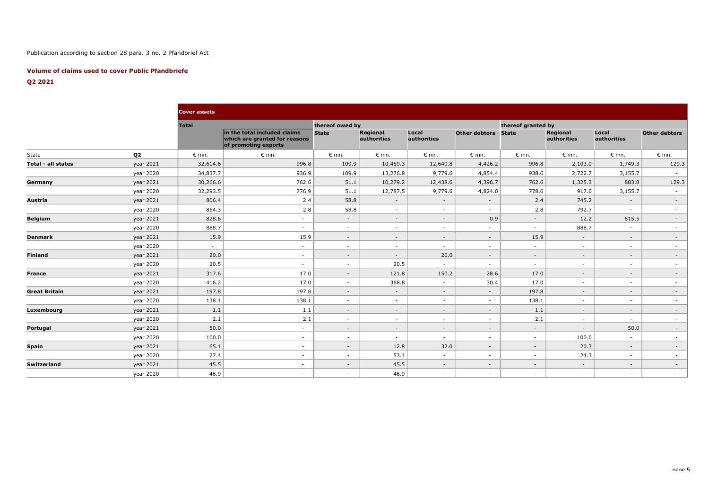## Publication according to section 28 para. 3 no. 2 Pfandbrief Act

## **Volume of claims used to cover Public Pfandbriefe**

## **Q2 2021**

|                      |                | <b>Cover assets</b> |                                                                                       |                 |                                |                      |                      |                          |                                |                      |                      |
|----------------------|----------------|---------------------|---------------------------------------------------------------------------------------|-----------------|--------------------------------|----------------------|----------------------|--------------------------|--------------------------------|----------------------|----------------------|
|                      |                | <b>Total</b>        |                                                                                       | thereof owed by |                                |                      |                      | thereof granted by       |                                |                      |                      |
|                      |                |                     | in the total included claims<br>which are granted for reasons<br>of promoting exports | <b>State</b>    | <b>Regional</b><br>authorities | Local<br>authorities | <b>Other debtors</b> | <b>State</b>             | <b>Regional</b><br>authorities | Local<br>authorities | <b>Other debtors</b> |
| State                | Q <sub>2</sub> | $\epsilon$ mn.      | $\epsilon$ mn.                                                                        | $\epsilon$ mn.  | $\epsilon$ mn.                 | $\epsilon$ mn.       | $\epsilon$ mn.       | $\epsilon$ mn.           | $\epsilon$ mn.                 | $\epsilon$ mn.       | $\epsilon$ mn.       |
| Total - all states   | year 2021      | 32,614.6            | 996.8                                                                                 | 109.9           | 10,459.3                       | 12,640.8             | 4,426.2              | 996.8                    | 2,103.0                        | 1,749.3              | 129.3                |
|                      | year 2020      | 34,837.7            | 936.9                                                                                 | 109.9           | 13,276.8                       | 9,779.6              | 4,854.4              | 938.6                    | 2,722.7                        | 3,155.7              | $\sim$               |
| Germany              | year 2021      | 30,266.6            | 762.6                                                                                 | 51.1            | 10,279.2                       | 12,438.6             | 4,396.7              | 762.6                    | 1,325.3                        | 883.8                | 129.3                |
|                      | year 2020      | 32,293.5            | 776.9                                                                                 | 51.1            | 12,787.5                       | 9,779.6              | 4,824.0              | 778.6                    | 917.0                          | 3,155.7              | $\sim$               |
| Austria              | year 2021      | 806.4               | 2.4                                                                                   | 58.8            | $\sim$                         | $\sim$               | $\sim$               | 2.4                      | 745.2                          | $\sim$               | $\sim$               |
|                      | year 2020      | 854.3               | 2.8                                                                                   | 58.8            | $\sim$                         | $\sim$               | $\sim$               | 2.8                      | 792.7                          | $\sim$               | $\sim$               |
| <b>Belgium</b>       | year 2021      | 828.6               | $\sim$                                                                                | $\sim$          | $\sim$                         | $\sim$               | 0.9                  | $\sim$                   | 12.2                           | 815.5                | $\sim$               |
|                      | year 2020      | 888.7               | $\sim$                                                                                | $\sim$          | $\sim$                         | $\sim$               | $\sim$               | $\sim$                   | 888.7                          | $\sim$               | $\sim$               |
| <b>Denmark</b>       | year 2021      | 15.9                | 15.9                                                                                  | $\sim$          | $\sim$                         | $\sim$               | $\sim$               | 15.9                     | $\sim$                         | $\sim$               | $\sim$               |
|                      | year 2020      | $\sim$              | $\sim$                                                                                | $\sim$          | $\sim$                         | $\sim$               | $\sim$               | $\sim$                   | $\sim$                         | $\sim$               | $\sim$               |
| <b>Finland</b>       | year 2021      | 20.0                | $\sim$                                                                                | $\sim$          | $\sim$                         | 20.0                 | $\sim$               | $\sim$                   | $\sim$                         | $\sim$               | $\sim$               |
|                      | year 2020      | 20.5                | $\sim$                                                                                | $\sim$          | 20.5                           | $\sim$               | $\sim$               | $\sim$                   | $\sim$                         | $\sim$               | $\sim$               |
| <b>France</b>        | year 2021      | 317.6               | 17.0                                                                                  | $\sim$          | 121.8                          | 150.2                | 28.6                 | 17.0                     | $\sim$                         | $\sim$               | $\sim$               |
|                      | year 2020      | 416.2               | 17.0                                                                                  | $\sim$          | 368.8                          | $\sim$               | 30.4                 | 17.0                     | $\sim$                         | $\sim$               | $\sim$               |
| <b>Great Britain</b> | year 2021      | 197.8               | 197.8                                                                                 | $\sim$          | $\sim$                         | $\sim$               | $\sim$               | 197.8                    | $\sim$                         | $\sim$               | $\sim$               |
|                      | year 2020      | 138.1               | 138.1                                                                                 | $\sim$          | $\sim$                         | $\sim$               | $\sim$               | 138.1                    | $\sim$                         | $\sim$               | $\sim$               |
| Luxembourg           | year 2021      | 1.1                 | 1.1                                                                                   | $\sim$          | $\sim$                         | $\sim$               | $\sim$               | 1.1                      | $\sim$                         | $\sim$               | $\sim$               |
|                      | year 2020      | 2.1                 | 2.1                                                                                   | $\sim$          | $\sim$                         | $\sim$               | $\sim$               | 2.1                      | $\sim$                         | $\sim$               | $\sim$               |
| Portugal             | year 2021      | 50.0                | $\sim$                                                                                | $\sim$          | $\sim$                         | $\sim$               | $\sim$               | $\sim$                   | $\sim$                         | 50.0                 | $\sim$               |
|                      | year 2020      | 100.0               | $\sim$                                                                                | $\sim$          | $\sim$                         | $\sim$               | $\sim$               | $\sim$                   | 100.0                          | $\sim$               | $\sim$               |
| <b>Spain</b>         | year 2021      | 65.1                | $\sim$                                                                                | $\sim$          | 12.8                           | 32.0                 | $\sim$               | $\sim$                   | 20.3                           | $\sim$               | $\sim$               |
|                      | year 2020      | 77.4                | $\sim$                                                                                | $\sim$          | 53.1                           | $\sim$               | $\sim$               | $\sim$                   | 24.3                           | $\sim$               | $\sim$               |
| Switzerland          | year 2021      | 45.5                | $\sim$                                                                                | $\sim$          | 45.5                           | $\sim$               | $\sim$               | $\overline{\phantom{a}}$ | $\sim$                         | $\sim$               | $\sim$               |
|                      | year 2020      | 46.9                | $\sim$                                                                                | $\sim$          | 46.9                           | $\sim$               | $\sim$               | $\sim$                   | $\sim$                         | $\sim$               | $\sim$               |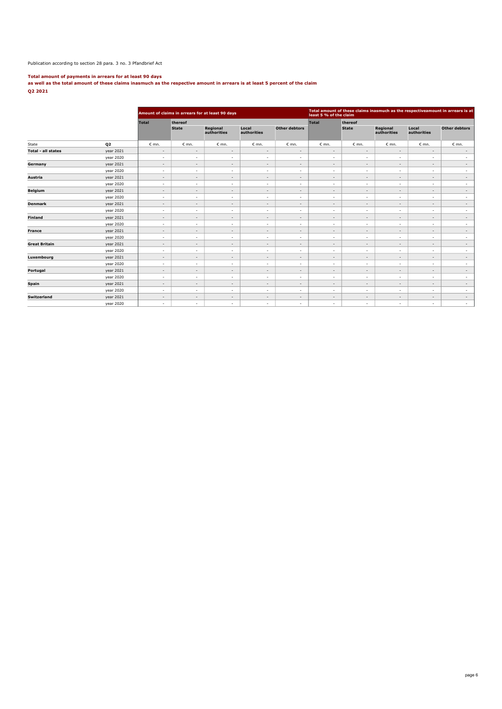### Publication according to section 28 para. 3 no. 3 Pfandbrief Act

**Total amount of payments in arrears for at least 90 days as well as the total amount of these claims inasmuch as the respective amount in arrears is at least 5 percent of the claim Q2 2021**

|                           |           |                          |                          | Amount of claims in arrears for at least 90 days |                          |                          | Total amount of these claims inasmuch as the respectiveamount in arrears is at<br>least 5 % of the claim |                          |                          |                          |                      |  |
|---------------------------|-----------|--------------------------|--------------------------|--------------------------------------------------|--------------------------|--------------------------|----------------------------------------------------------------------------------------------------------|--------------------------|--------------------------|--------------------------|----------------------|--|
|                           |           | <b>Total</b>             | thereof                  |                                                  |                          |                          | Total                                                                                                    | thereof                  |                          |                          |                      |  |
|                           |           |                          | <b>State</b>             | Regional<br>authorities                          | Local<br>authorities     | <b>Other debtors</b>     |                                                                                                          | <b>State</b>             | Regional<br>authorities  | Local<br>authorities     | <b>Other debtors</b> |  |
| Q <sub>2</sub><br>State   |           | $\epsilon$ mn.           | $\epsilon$ mn.           | $\epsilon$ mn.                                   | $\varepsilon$ mn.        | $\varepsilon$ mn.        | $\epsilon$ mn.                                                                                           | $\epsilon$ mn.           | $\epsilon$ mn.           | $\varepsilon$ mn.        | $\varepsilon$ mn.    |  |
| <b>Total - all states</b> | year 2021 | $\overline{\phantom{a}}$ | $\overline{\phantom{a}}$ | $\overline{\phantom{a}}$                         | $\overline{\phantom{a}}$ | $\overline{\phantom{a}}$ | $\overline{\phantom{a}}$                                                                                 | $\overline{\phantom{a}}$ | $\overline{\phantom{a}}$ | $\overline{\phantom{a}}$ | $\sim$               |  |
|                           | year 2020 | $\sim$                   | $\sim$                   | $\sim$                                           | $\sim$                   | $\overline{\phantom{a}}$ | $\sim$                                                                                                   | $\sim$                   | $\sim$                   | $\overline{\phantom{a}}$ | $\sim$               |  |
| Germany                   | year 2021 | $\sim$                   | $\sim$                   | $\sim$                                           | $\overline{\phantom{a}}$ | $\overline{\phantom{a}}$ | $\overline{\phantom{a}}$                                                                                 | $\overline{\phantom{a}}$ | $\overline{\phantom{a}}$ | $\overline{\phantom{a}}$ | $\sim$               |  |
|                           | year 2020 | $\sim$                   | $\sim$                   | $\sim$                                           | $\sim$                   | $\overline{\phantom{a}}$ | $\sim$                                                                                                   | $\sim$                   | $\sim$                   | ٠                        | $\sim$               |  |
| Austria                   | year 2021 | $\sim$                   | $\sim$                   | $\sim$                                           | $\overline{\phantom{a}}$ | $\overline{\phantom{a}}$ | $\sim$                                                                                                   | $\overline{\phantom{a}}$ | $\sim$                   | $\sim$                   | $\sim$               |  |
|                           | year 2020 | $\sim$                   | $\sim$                   | $\sim$                                           | $\sim$                   | ٠                        | $\sim$                                                                                                   | $\sim$                   | $\sim$                   | ٠                        | $\sim$               |  |
| <b>Belgium</b>            | year 2021 | $\overline{\phantom{a}}$ | $\sim$                   | $\sim$                                           | $\overline{\phantom{a}}$ | $\overline{\phantom{a}}$ | $\overline{\phantom{a}}$                                                                                 | $\overline{\phantom{a}}$ | $\overline{\phantom{a}}$ | $\overline{\phantom{a}}$ | $\sim$               |  |
|                           | year 2020 | $\sim$                   | $\sim$                   | $\sim$                                           | $\sim$                   | ٠                        | $\sim$                                                                                                   | $\sim$                   | $\sim$                   | ٠                        | $\sim$               |  |
| <b>Denmark</b>            | year 2021 | $\overline{\phantom{a}}$ | $\sim$                   | $\sim$                                           | $\overline{\phantom{a}}$ | $\overline{\phantom{a}}$ | $\overline{\phantom{a}}$                                                                                 | $\overline{\phantom{a}}$ | $\sim$                   | $\overline{\phantom{a}}$ | $\sim$               |  |
|                           | year 2020 | $\sim$                   | $\sim$                   | $\sim$                                           | $\overline{\phantom{a}}$ | ٠                        | $\overline{\phantom{a}}$                                                                                 | $\overline{\phantom{a}}$ | $\sim$                   | ٠                        | $\sim$               |  |
| <b>Finland</b>            | year 2021 | $\sim$                   | $\sim$                   | $\sim$                                           | $\overline{\phantom{a}}$ | $\overline{\phantom{a}}$ | $\sim$                                                                                                   | $\overline{\phantom{a}}$ | $\sim$                   | $\overline{\phantom{a}}$ | $\sim$               |  |
|                           | year 2020 | $\sim$                   | $\overline{\phantom{a}}$ | $\sim$                                           | $\sim$                   | ٠                        | $\sim$                                                                                                   | $\overline{\phantom{a}}$ | $\sim$                   | ٠                        | $\sim$               |  |
| <b>France</b>             | year 2021 | $\sim$                   | $\sim$                   | $\sim$                                           | $\overline{\phantom{a}}$ | $\overline{\phantom{a}}$ | $\sim$                                                                                                   | $\overline{\phantom{a}}$ | $\sim$                   | $\sim$                   | $\sim$               |  |
|                           | year 2020 | $\overline{\phantom{a}}$ | $\sim$                   | $\sim$                                           | $\sim$                   | $\overline{\phantom{a}}$ | $\sim$                                                                                                   | $\overline{\phantom{a}}$ | $\sim$                   | $\overline{\phantom{a}}$ | $\sim$               |  |
| <b>Great Britain</b>      | year 2021 | $\sim$                   | ÷.                       | $\sim$                                           | $\overline{\phantom{a}}$ | $\overline{\phantom{a}}$ | $\overline{\phantom{a}}$                                                                                 | $\overline{\phantom{a}}$ | $\sim$                   | $\overline{\phantom{a}}$ | $\sim$               |  |
|                           | year 2020 | $\sim$                   | $\sim$                   | $\sim$                                           | $\sim$                   | $\overline{\phantom{a}}$ | $\sim$                                                                                                   | $\sim$                   | $\sim$                   | $\overline{\phantom{a}}$ | $\sim$               |  |
| Luxembourg                | year 2021 | $\sim$                   | $\sim$                   | $\sim$                                           | $\sim$                   | $\overline{\phantom{a}}$ | $\sim$                                                                                                   | $\sim$                   | $\sim$                   | $\sim$                   | $\sim$               |  |
|                           | year 2020 | $\sim$                   | $\sim$                   | $\sim$                                           | $\sim$                   | ٠                        | $\sim$                                                                                                   | $\sim$                   | $\sim$                   | $\overline{\phantom{a}}$ | $\sim$               |  |
| Portugal                  | year 2021 | $\sim$                   | $\sim$                   | $\sim$                                           | $\overline{\phantom{a}}$ | $\overline{\phantom{a}}$ | $\sim$                                                                                                   | $\overline{\phantom{a}}$ | $\sim$                   | $\sim$                   | $\sim$               |  |
|                           | year 2020 | $\sim$                   | $\sim$                   | $\sim$                                           | $\sim$                   | ٠                        | $\sim$                                                                                                   | $\sim$                   | $\sim$                   | ٠                        | $\sim$               |  |
| <b>Spain</b>              | year 2021 | $\sim$                   | $\sim$                   | $\sim$                                           | $\overline{\phantom{a}}$ | $\overline{\phantom{a}}$ | $\sim$                                                                                                   | $\overline{\phantom{a}}$ | $\sim$                   | $\overline{\phantom{a}}$ | $\sim$               |  |
|                           | year 2020 | $\sim$                   | $\sim$                   | $\sim$                                           | $\overline{\phantom{a}}$ | ٠                        | $\sim$                                                                                                   | $\sim$                   | $\sim$                   | $\overline{\phantom{a}}$ | $\sim$               |  |
| <b>Switzerland</b>        | year 2021 | $\sim$                   | $\sim$                   | $\sim$                                           | $\overline{\phantom{a}}$ | $\overline{\phantom{a}}$ | $\sim$                                                                                                   | $\overline{\phantom{a}}$ | $\sim$                   | $\overline{\phantom{a}}$ | $\sim$               |  |
|                           | year 2020 | $\sim$                   | $\overline{\phantom{a}}$ | $\sim$                                           | $\overline{\phantom{a}}$ | ٠                        | $\overline{\phantom{a}}$                                                                                 | $\sim$                   | $\sim$                   | $\sim$                   | $\sim$               |  |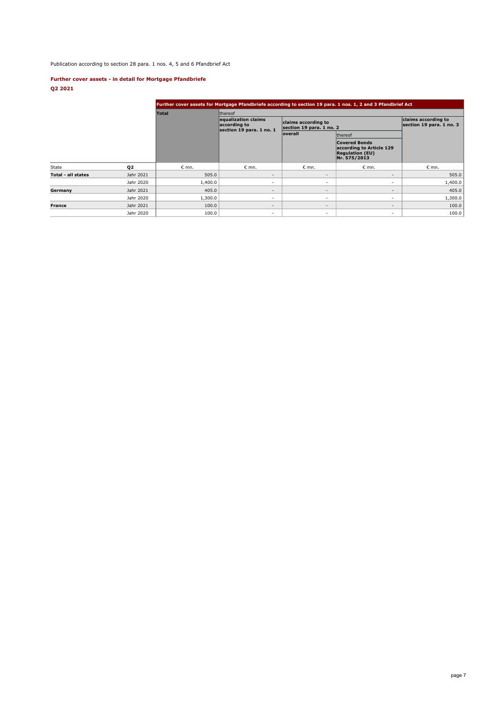Publication according to section 28 para. 1 nos. 4, 5 and 6 Pfandbrief Act

## **Further cover assets - in detail for Mortgage Pfandbriefe Q2 2021**

|                           |           |                | Further cover assets for Mortgage Pfandbriefe according to section 19 para. 1 nos. 1, 2 and 3 Pfandbrief Act |                                                 |                                                                                            |                |  |  |  |  |  |  |
|---------------------------|-----------|----------------|--------------------------------------------------------------------------------------------------------------|-------------------------------------------------|--------------------------------------------------------------------------------------------|----------------|--|--|--|--|--|--|
|                           |           | <b>Total</b>   | <b>Ithereof</b>                                                                                              |                                                 |                                                                                            |                |  |  |  |  |  |  |
|                           |           |                | equalization claims<br>according to<br>section 19 para. 1 no. 1                                              | claims according to<br>section 19 para. 1 no. 2 | claims according to<br>section 19 para. 1 no. 3                                            |                |  |  |  |  |  |  |
|                           |           |                |                                                                                                              | overall                                         | thereof                                                                                    |                |  |  |  |  |  |  |
|                           |           |                |                                                                                                              |                                                 | <b>Covered Bonds</b><br>according to Article 129<br><b>Regulation (EU)</b><br>Nr. 575/2013 |                |  |  |  |  |  |  |
| State                     | 02        | $\epsilon$ mn. | $\epsilon$ mn.                                                                                               | $\epsilon$ mn.                                  | $\epsilon$ mn.                                                                             | $\epsilon$ mn. |  |  |  |  |  |  |
| <b>Total - all states</b> | Jahr 2021 | 505.0          | -                                                                                                            | $\overline{\phantom{a}}$                        | $\overline{\phantom{a}}$                                                                   | 505.0          |  |  |  |  |  |  |
|                           | Jahr 2020 | 1,400.0        | ٠                                                                                                            | $\sim$                                          | $\sim$                                                                                     | 1,400.0        |  |  |  |  |  |  |
| Germany                   | Jahr 2021 | 405.0          | $\overline{\phantom{a}}$                                                                                     | $\overline{\phantom{a}}$                        | $\overline{\phantom{a}}$                                                                   | 405.0          |  |  |  |  |  |  |
|                           | Jahr 2020 | 1,300.0        | $\overline{\phantom{a}}$                                                                                     | $\sim$                                          | $\sim$                                                                                     | 1,300.0        |  |  |  |  |  |  |
| <b>France</b>             | Jahr 2021 | 100.0          | $\overline{\phantom{a}}$                                                                                     | $\overline{\phantom{a}}$                        | $\overline{\phantom{a}}$                                                                   | 100.0          |  |  |  |  |  |  |
|                           | Jahr 2020 | 100.0          | $\overline{\phantom{a}}$                                                                                     | $\sim$                                          | $\sim$                                                                                     | 100.0          |  |  |  |  |  |  |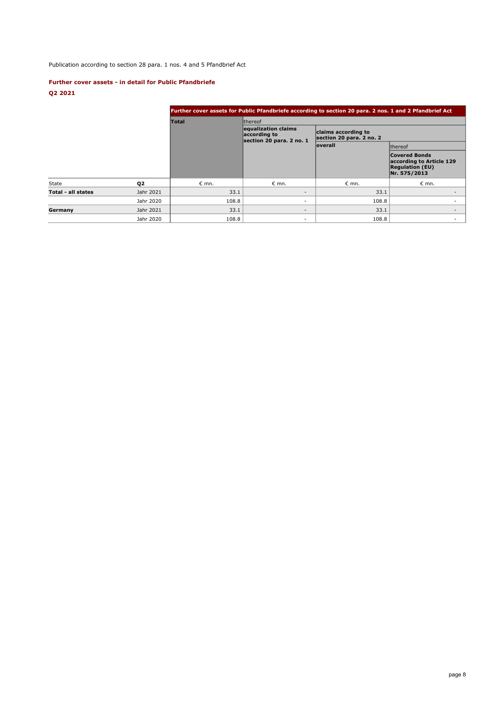# Publication according to section 28 para. 1 nos. 4 and 5 Pfandbrief Act

## **Further cover assets - in detail for Public Pfandbriefe**

**Q2 2021**

|                    |                |                |                                                                 | Further cover assets for Public Pfandbriefe according to section 20 para. 2 nos. 1 and 2 Pfandbrief Act |                                                                                            |  |
|--------------------|----------------|----------------|-----------------------------------------------------------------|---------------------------------------------------------------------------------------------------------|--------------------------------------------------------------------------------------------|--|
|                    |                | <b>Total</b>   | <b>Ithereof</b>                                                 |                                                                                                         |                                                                                            |  |
|                    |                |                | equalization claims<br>according to<br>section 20 para. 2 no. 1 | claims according to<br>section 20 para. 2 no. 2                                                         |                                                                                            |  |
|                    |                |                |                                                                 | <b>overall</b>                                                                                          | <b>Ithereof</b>                                                                            |  |
|                    |                |                |                                                                 |                                                                                                         | <b>Covered Bonds</b><br>according to Article 129<br><b>Regulation (EU)</b><br>Nr. 575/2013 |  |
| State              | Q <sub>2</sub> | $\epsilon$ mn. | $\epsilon$ mn.                                                  | $\epsilon$ mn.                                                                                          | $\epsilon$ mn.                                                                             |  |
| Total - all states | Jahr 2021      | 33.1           | $\overline{\phantom{a}}$                                        | 33.1                                                                                                    |                                                                                            |  |
|                    | Jahr 2020      | 108.8          | ٠                                                               | 108.8                                                                                                   |                                                                                            |  |
| Germany            | Jahr 2021      | 33.1           | $\overline{\phantom{a}}$                                        | 33.1                                                                                                    | $\sim$                                                                                     |  |
|                    | Jahr 2020      | 108.8          | ٠                                                               | 108.8                                                                                                   | ۰.                                                                                         |  |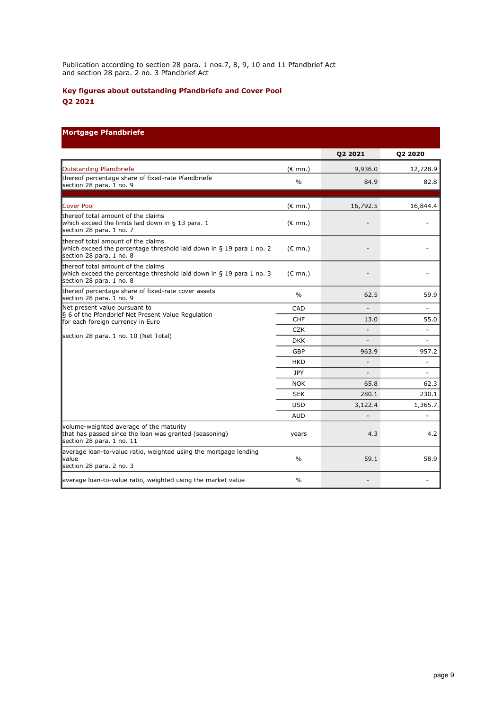Publication according to section 28 para. 1 nos.7, 8, 9, 10 and 11 Pfandbrief Act and section 28 para. 2 no. 3 Pfandbrief Act

# **Key figures about outstanding Pfandbriefe and Cover Pool Q2 2021**

# **Mortgage Pfandbriefe**

|                                                                                                                                        |                   | Q2 2021        | <b>Q2 2020</b>           |
|----------------------------------------------------------------------------------------------------------------------------------------|-------------------|----------------|--------------------------|
| Outstanding Pfandbriefe                                                                                                                | $(E \text{ mn.})$ | 9,936.0        | 12,728.9                 |
| thereof percentage share of fixed-rate Pfandbriefe<br>section 28 para. 1 no. 9                                                         | $\frac{0}{0}$     | 84.9           | 82.8                     |
| Cover Pool                                                                                                                             | $(\epsilon$ mn.)  | 16,792.5       | 16,844.4                 |
| thereof total amount of the claims<br>which exceed the limits laid down in § 13 para. 1<br>section 28 para. 1 no. 7                    | $(E \text{ mn.})$ |                |                          |
| thereof total amount of the claims<br>which exceed the percentage threshold laid down in § 19 para 1 no. 2<br>section 28 para. 1 no. 8 | $(E \text{ mn.})$ |                |                          |
| thereof total amount of the claims<br>which exceed the percentage threshold laid down in § 19 para 1 no. 3<br>section 28 para. 1 no. 8 | $(E \text{ mn.})$ |                |                          |
| thereof percentage share of fixed-rate cover assets<br>section 28 para. 1 no. 9                                                        | $\frac{0}{0}$     | 62.5           | 59.9                     |
| Net present value pursuant to                                                                                                          | CAD               |                |                          |
| § 6 of the Pfandbrief Net Present Value Regulation<br>for each foreign currency in Euro                                                | <b>CHF</b>        | 13.0           | 55.0                     |
|                                                                                                                                        | <b>CZK</b>        | Ξ              | ÷,                       |
| section 28 para. 1 no. 10 (Net Total)                                                                                                  | <b>DKK</b>        |                |                          |
|                                                                                                                                        | GBP               | 963.9          | 957.2                    |
|                                                                                                                                        | <b>HKD</b>        | $\overline{a}$ | $\overline{\phantom{m}}$ |
|                                                                                                                                        | <b>JPY</b>        |                |                          |
|                                                                                                                                        | <b>NOK</b>        | 65.8           | 62.3                     |
|                                                                                                                                        | <b>SEK</b>        | 280.1          | 230.1                    |
|                                                                                                                                        | <b>USD</b>        | 3,122.4        | 1,365.7                  |
|                                                                                                                                        | <b>AUD</b>        |                |                          |
| volume-weighted average of the maturity<br>that has passed since the loan was granted (seasoning)<br>section 28 para. 1 no. 11         | years             | 4.3            | 4.2                      |
| average loan-to-value ratio, weighted using the mortgage lending<br><b>value</b><br>section 28 para. 2 no. 3                           | $\frac{0}{0}$     | 59.1           | 58.9                     |
| average loan-to-value ratio, weighted using the market value                                                                           | $\frac{0}{0}$     |                |                          |